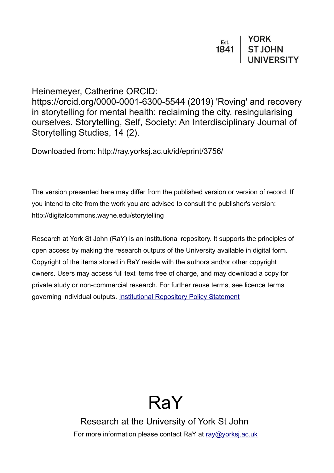| Est. | <b>YORK</b>    |
|------|----------------|
| 1841 | <b>ST JOHN</b> |
|      | UNIVERSITY     |

## Heinemeyer, Catherine ORCID:

https://orcid.org/0000-0001-6300-5544 (2019) 'Roving' and recovery in storytelling for mental health: reclaiming the city, resingularising ourselves. Storytelling, Self, Society: An Interdisciplinary Journal of Storytelling Studies, 14 (2).

Downloaded from: http://ray.yorksj.ac.uk/id/eprint/3756/

The version presented here may differ from the published version or version of record. If you intend to cite from the work you are advised to consult the publisher's version: http://digitalcommons.wayne.edu/storytelling

Research at York St John (RaY) is an institutional repository. It supports the principles of open access by making the research outputs of the University available in digital form. Copyright of the items stored in RaY reside with the authors and/or other copyright owners. Users may access full text items free of charge, and may download a copy for private study or non-commercial research. For further reuse terms, see licence terms governing individual outputs. [Institutional Repository Policy Statement](https://www.yorksj.ac.uk/ils/repository-policies/)



Research at the University of York St John For more information please contact RaY at [ray@yorksj.ac.uk](mailto:ray@yorksj.ac.uk)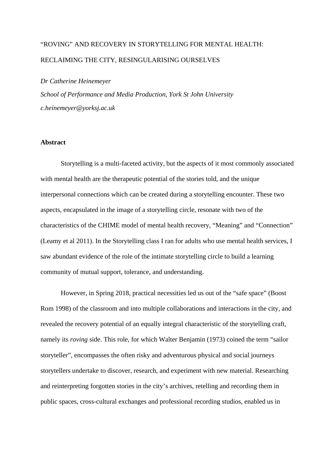# "ROVING" AND RECOVERY IN STORYTELLING FOR MENTAL HEALTH: RECLAIMING THE CITY, RESINGULARISING OURSELVES

#### *Dr Catherine Heinemeyer*

*School of Performance and Media Production, York St John University c.heinemeyer@yorksj.ac.uk* 

#### **Abstract**

Storytelling is a multi-faceted activity, but the aspects of it most commonly associated with mental health are the therapeutic potential of the stories told, and the unique interpersonal connections which can be created during a storytelling encounter. These two aspects, encapsulated in the image of a storytelling circle, resonate with two of the characteristics of the CHIME model of mental health recovery, "Meaning" and "Connection" (Leamy et al 2011). In the Storytelling class I ran for adults who use mental health services, I saw abundant evidence of the role of the intimate storytelling circle to build a learning community of mutual support, tolerance, and understanding.

However, in Spring 2018, practical necessities led us out of the "safe space" (Boost Rom 1998) of the classroom and into multiple collaborations and interactions in the city, and revealed the recovery potential of an equally integral characteristic of the storytelling craft, namely its *roving* side. This role, for which Walter Benjamin (1973) coined the term "sailor storyteller", encompasses the often risky and adventurous physical and social journeys storytellers undertake to discover, research, and experiment with new material. Researching and reinterpreting forgotten stories in the city's archives, retelling and recording them in public spaces, cross-cultural exchanges and professional recording studios, enabled us in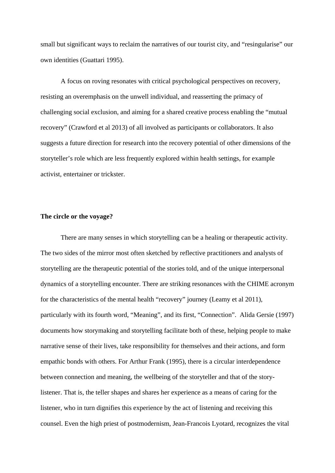small but significant ways to reclaim the narratives of our tourist city, and "resingularise" our own identities (Guattari 1995).

A focus on roving resonates with critical psychological perspectives on recovery, resisting an overemphasis on the unwell individual, and reasserting the primacy of challenging social exclusion, and aiming for a shared creative process enabling the "mutual recovery" (Crawford et al 2013) of all involved as participants or collaborators. It also suggests a future direction for research into the recovery potential of other dimensions of the storyteller's role which are less frequently explored within health settings, for example activist, entertainer or trickster.

#### **The circle or the voyage?**

There are many senses in which storytelling can be a healing or therapeutic activity. The two sides of the mirror most often sketched by reflective practitioners and analysts of storytelling are the therapeutic potential of the stories told, and of the unique interpersonal dynamics of a storytelling encounter. There are striking resonances with the CHIME acronym for the characteristics of the mental health "recovery" journey (Leamy et al 2011), particularly with its fourth word, "Meaning", and its first, "Connection". Alida Gersie (1997) documents how storymaking and storytelling facilitate both of these, helping people to make narrative sense of their lives, take responsibility for themselves and their actions, and form empathic bonds with others. For Arthur Frank (1995), there is a circular interdependence between connection and meaning, the wellbeing of the storyteller and that of the storylistener. That is, the teller shapes and shares her experience as a means of caring for the listener, who in turn dignifies this experience by the act of listening and receiving this counsel. Even the high priest of postmodernism, Jean-Francois Lyotard, recognizes the vital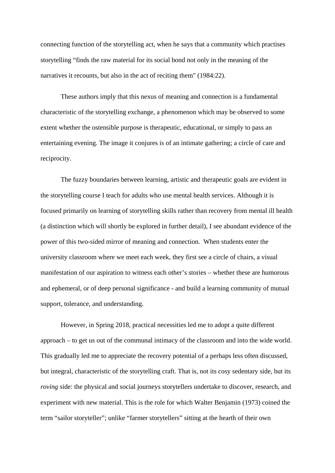connecting function of the storytelling act, when he says that a community which practises storytelling "finds the raw material for its social bond not only in the meaning of the narratives it recounts, but also in the act of reciting them" (1984:22).

These authors imply that this nexus of meaning and connection is a fundamental characteristic of the storytelling exchange, a phenomenon which may be observed to some extent whether the ostensible purpose is therapeutic, educational, or simply to pass an entertaining evening. The image it conjures is of an intimate gathering; a circle of care and reciprocity.

The fuzzy boundaries between learning, artistic and therapeutic goals are evident in the storytelling course I teach for adults who use mental health services. Although it is focused primarily on learning of storytelling skills rather than recovery from mental ill health (a distinction which will shortly be explored in further detail), I see abundant evidence of the power of this two-sided mirror of meaning and connection. When students enter the university classroom where we meet each week, they first see a circle of chairs, a visual manifestation of our aspiration to witness each other's stories – whether these are humorous and ephemeral, or of deep personal significance - and build a learning community of mutual support, tolerance, and understanding.

However, in Spring 2018, practical necessities led me to adopt a quite different approach – to get us out of the communal intimacy of the classroom and into the wide world. This gradually led me to appreciate the recovery potential of a perhaps less often discussed, but integral, characteristic of the storytelling craft. That is, not its cosy sedentary side, but its *roving* side: the physical and social journeys storytellers undertake to discover, research, and experiment with new material. This is the role for which Walter Benjamin (1973) coined the term "sailor storyteller"; unlike "farmer storytellers" sitting at the hearth of their own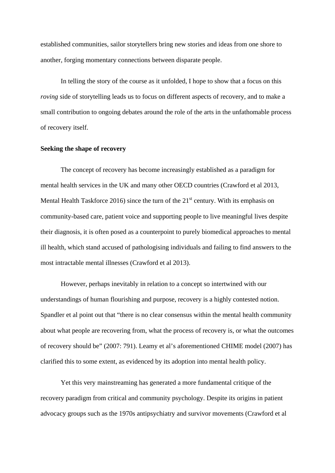established communities, sailor storytellers bring new stories and ideas from one shore to another, forging momentary connections between disparate people.

In telling the story of the course as it unfolded, I hope to show that a focus on this *roving* side of storytelling leads us to focus on different aspects of recovery, and to make a small contribution to ongoing debates around the role of the arts in the unfathomable process of recovery itself.

#### **Seeking the shape of recovery**

The concept of recovery has become increasingly established as a paradigm for mental health services in the UK and many other OECD countries (Crawford et al 2013, Mental Health Taskforce 2016) since the turn of the  $21<sup>st</sup>$  century. With its emphasis on community-based care, patient voice and supporting people to live meaningful lives despite their diagnosis, it is often posed as a counterpoint to purely biomedical approaches to mental ill health, which stand accused of pathologising individuals and failing to find answers to the most intractable mental illnesses (Crawford et al 2013).

However, perhaps inevitably in relation to a concept so intertwined with our understandings of human flourishing and purpose, recovery is a highly contested notion. Spandler et al point out that "there is no clear consensus within the mental health community about what people are recovering from, what the process of recovery is, or what the outcomes of recovery should be" (2007: 791). Leamy et al's aforementioned CHIME model (2007) has clarified this to some extent, as evidenced by its adoption into mental health policy.

Yet this very mainstreaming has generated a more fundamental critique of the recovery paradigm from critical and community psychology. Despite its origins in patient advocacy groups such as the 1970s antipsychiatry and survivor movements (Crawford et al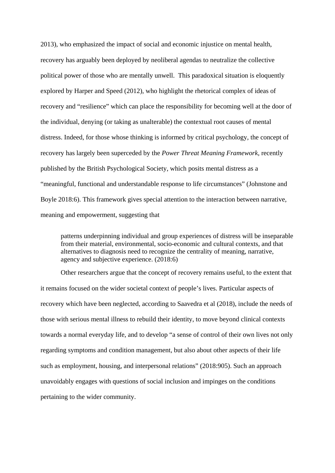2013), who emphasized the impact of social and economic injustice on mental health, recovery has arguably been deployed by neoliberal agendas to neutralize the collective political power of those who are mentally unwell. This paradoxical situation is eloquently explored by Harper and Speed (2012), who highlight the rhetorical complex of ideas of recovery and "resilience" which can place the responsibility for becoming well at the door of the individual, denying (or taking as unalterable) the contextual root causes of mental distress. Indeed, for those whose thinking is informed by critical psychology, the concept of recovery has largely been superceded by the *Power Threat Meaning Framework*, recently published by the British Psychological Society, which posits mental distress as a "meaningful, functional and understandable response to life circumstances" (Johnstone and Boyle 2018:6). This framework gives special attention to the interaction between narrative, meaning and empowerment, suggesting that

patterns underpinning individual and group experiences of distress will be inseparable from their material, environmental, socio-economic and cultural contexts, and that alternatives to diagnosis need to recognize the centrality of meaning, narrative, agency and subjective experience. (2018:6)

Other researchers argue that the concept of recovery remains useful, to the extent that it remains focused on the wider societal context of people's lives. Particular aspects of recovery which have been neglected, according to Saavedra et al (2018), include the needs of those with serious mental illness to rebuild their identity, to move beyond clinical contexts towards a normal everyday life, and to develop "a sense of control of their own lives not only regarding symptoms and condition management, but also about other aspects of their life such as employment, housing, and interpersonal relations" (2018:905). Such an approach unavoidably engages with questions of social inclusion and impinges on the conditions pertaining to the wider community.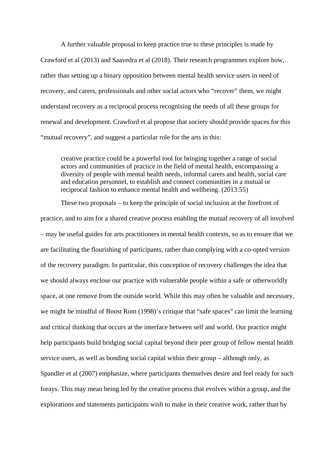A further valuable proposal to keep practice true to these principles is made by Crawford et al (2013) and Saavedra et al (2018). Their research programmes explore how, rather than setting up a binary opposition between mental health service users in need of recovery, and carers, professionals and other social actors who "recover" them, we might understand recovery as a reciprocal process recognising the needs of all these groups for renewal and development. Crawford et al propose that society should provide spaces for this "mutual recovery", and suggest a particular role for the arts in this:

creative practice could be a powerful tool for bringing together a range of social actors and communities of practice in the field of mental health, encompassing a diversity of people with mental health needs, informal carers and health, social care and education personnel, to establish and connect communities in a mutual or reciprocal fashion to enhance mental health and wellbeing. (2013:55)

These two proposals – to keep the principle of social inclusion at the forefront of practice, and to aim for a shared creative process enabling the mutual recovery of all involved – may be useful guides for arts practitioners in mental health contexts, so as to ensure that we are facilitating the flourishing of participants, rather than complying with a co-opted version of the recovery paradigm. In particular, this conception of recovery challenges the idea that we should always enclose our practice with vulnerable people within a safe or otherworldly space, at one remove from the outside world. While this may often be valuable and necessary, we might be mindful of Boost Rom (1998)'s critique that "safe spaces" can limit the learning and critical thinking that occurs at the interface between self and world. Our practice might help participants build bridging social capital beyond their peer group of fellow mental health service users, as well as bonding social capital within their group – although only, as Spandler et al (2007) emphasize, where participants themselves desire and feel ready for such forays. This may mean being led by the creative process that evolves within a group, and the explorations and statements participants wish to make in their creative work, rather than by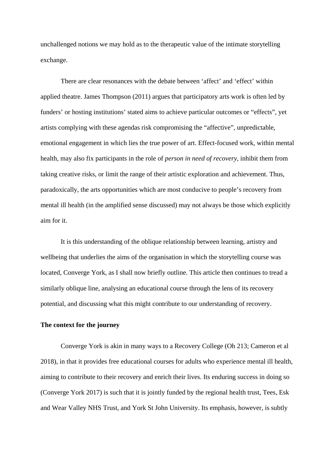unchallenged notions we may hold as to the therapeutic value of the intimate storytelling exchange.

There are clear resonances with the debate between 'affect' and 'effect' within applied theatre. James Thompson (2011) argues that participatory arts work is often led by funders' or hosting institutions' stated aims to achieve particular outcomes or "effects", yet artists complying with these agendas risk compromising the "affective", unpredictable, emotional engagement in which lies the true power of art. Effect-focused work, within mental health, may also fix participants in the role of *person in need of recovery*, inhibit them from taking creative risks, or limit the range of their artistic exploration and achievement. Thus, paradoxically, the arts opportunities which are most conducive to people's recovery from mental ill health (in the amplified sense discussed) may not always be those which explicitly aim for it.

It is this understanding of the oblique relationship between learning, artistry and wellbeing that underlies the aims of the organisation in which the storytelling course was located, Converge York, as I shall now briefly outline. This article then continues to tread a similarly oblique line, analysing an educational course through the lens of its recovery potential, and discussing what this might contribute to our understanding of recovery.

#### **The context for the journey**

Converge York is akin in many ways to a Recovery College (Oh 213; Cameron et al 2018), in that it provides free educational courses for adults who experience mental ill health, aiming to contribute to their recovery and enrich their lives. Its enduring success in doing so (Converge York 2017) is such that it is jointly funded by the regional health trust, Tees, Esk and Wear Valley NHS Trust, and York St John University. Its emphasis, however, is subtly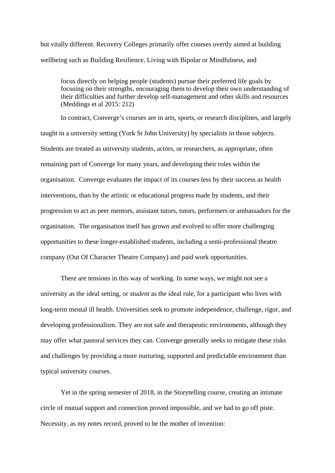but vitally different. Recovery Colleges primarily offer courses overtly aimed at building wellbeing such as Building Resilience, Living with Bipolar or Mindfulness, and

focus directly on helping people (students) pursue their preferred life goals by focusing on their strengths, encouraging them to develop their own understanding of their difficulties and further develop self-management and other skills and resources (Meddings et al 2015: 212)

In contract, Converge's courses are in arts, sports, or research disciplines, and largely taught in a university setting (York St John University) by specialists in those subjects. Students are treated as university students, actors, or researchers, as appropriate, often remaining part of Converge for many years, and developing their roles within the organisation. Converge evaluates the impact of its courses less by their success as health interventions, than by the artistic or educational progress made by students, and their progression to act as peer mentors, assistant tutors, tutors, performers or ambassadors for the organisation. The organisation itself has grown and evolved to offer more challenging opportunities to these longer-established students, including a semi-professional theatre company (Out Of Character Theatre Company) and paid work opportunities.

There are tensions in this way of working. In some ways, we might not see a university as the ideal setting, or *student* as the ideal role, for a participant who lives with long-term mental ill health. Universities seek to promote independence, challenge, rigor, and developing professionalism. They are not safe and therapeutic environments, although they may offer what pastoral services they can. Converge generally seeks to mitigate these risks and challenges by providing a more nurturing, supported and predictable environment than typical university courses.

Yet in the spring semester of 2018, in the Storytelling course, creating an intimate circle of mutual support and connection proved impossible, and we had to go off piste. Necessity, as my notes record, proved to be the mother of invention: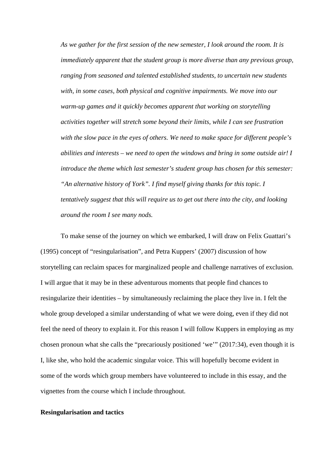*As we gather for the first session of the new semester, I look around the room. It is immediately apparent that the student group is more diverse than any previous group, ranging from seasoned and talented established students, to uncertain new students with, in some cases, both physical and cognitive impairments. We move into our warm-up games and it quickly becomes apparent that working on storytelling activities together will stretch some beyond their limits, while I can see frustration with the slow pace in the eyes of others. We need to make space for different people's abilities and interests – we need to open the windows and bring in some outside air! I introduce the theme which last semester's student group has chosen for this semester: "An alternative history of York". I find myself giving thanks for this topic. I tentatively suggest that this will require us to get out there into the city, and looking around the room I see many nods.* 

To make sense of the journey on which we embarked, I will draw on Felix Guattari's (1995) concept of "resingularisation", and Petra Kuppers' (2007) discussion of how storytelling can reclaim spaces for marginalized people and challenge narratives of exclusion. I will argue that it may be in these adventurous moments that people find chances to resingularize their identities – by simultaneously reclaiming the place they live in. I felt the whole group developed a similar understanding of what we were doing, even if they did not feel the need of theory to explain it. For this reason I will follow Kuppers in employing as my chosen pronoun what she calls the "precariously positioned 'we'" (2017:34), even though it is I, like she, who hold the academic singular voice. This will hopefully become evident in some of the words which group members have volunteered to include in this essay, and the vignettes from the course which I include throughout.

#### **Resingularisation and tactics**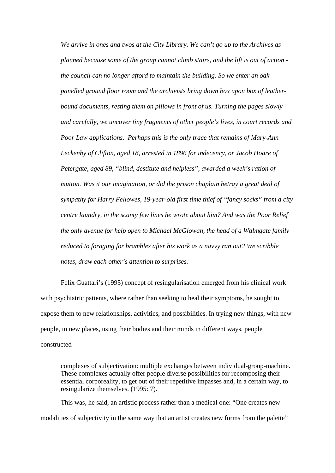*We arrive in ones and twos at the City Library. We can't go up to the Archives as planned because some of the group cannot climb stairs, and the lift is out of action the council can no longer afford to maintain the building. So we enter an oakpanelled ground floor room and the archivists bring down box upon box of leatherbound documents, resting them on pillows in front of us. Turning the pages slowly and carefully, we uncover tiny fragments of other people's lives, in court records and Poor Law applications. Perhaps this is the only trace that remains of Mary-Ann Leckenby of Clifton, aged 18, arrested in 1896 for indecency, or Jacob Hoare of Petergate, aged 89, "blind, destitute and helpless", awarded a week's ration of mutton. Was it our imagination, or did the prison chaplain betray a great deal of sympathy for Harry Fellowes, 19-year-old first time thief of "fancy socks" from a city centre laundry, in the scanty few lines he wrote about him? And was the Poor Relief the only avenue for help open to Michael McGlowan, the head of a Walmgate family reduced to foraging for brambles after his work as a navvy ran out? We scribble notes, draw each other's attention to surprises.*

Felix Guattari's (1995) concept of resingularisation emerged from his clinical work with psychiatric patients, where rather than seeking to heal their symptoms, he sought to expose them to new relationships, activities, and possibilities. In trying new things, with new people, in new places, using their bodies and their minds in different ways, people constructed

complexes of subjectivation: multiple exchanges between individual-group-machine. These complexes actually offer people diverse possibilities for recomposing their essential corporeality, to get out of their repetitive impasses and, in a certain way, to resingularize themselves. (1995: 7).

This was, he said, an artistic process rather than a medical one: "One creates new modalities of subjectivity in the same way that an artist creates new forms from the palette"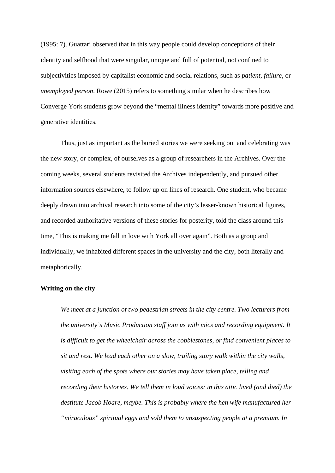(1995: 7). Guattari observed that in this way people could develop conceptions of their identity and selfhood that were singular, unique and full of potential, not confined to subjectivities imposed by capitalist economic and social relations, such as *patient*, *failure*, or *unemployed person*. Rowe (2015) refers to something similar when he describes how Converge York students grow beyond the "mental illness identity" towards more positive and generative identities.

Thus, just as important as the buried stories we were seeking out and celebrating was the new story, or complex, of ourselves as a group of researchers in the Archives. Over the coming weeks, several students revisited the Archives independently, and pursued other information sources elsewhere, to follow up on lines of research. One student, who became deeply drawn into archival research into some of the city's lesser-known historical figures, and recorded authoritative versions of these stories for posterity, told the class around this time, "This is making me fall in love with York all over again". Both as a group and individually, we inhabited different spaces in the university and the city, both literally and metaphorically.

#### **Writing on the city**

*We meet at a junction of two pedestrian streets in the city centre. Two lecturers from the university's Music Production staff join us with mics and recording equipment. It is difficult to get the wheelchair across the cobblestones, or find convenient places to sit and rest. We lead each other on a slow, trailing story walk within the city walls, visiting each of the spots where our stories may have taken place, telling and recording their histories. We tell them in loud voices: in this attic lived (and died) the destitute Jacob Hoare, maybe. This is probably where the hen wife manufactured her "miraculous" spiritual eggs and sold them to unsuspecting people at a premium. In*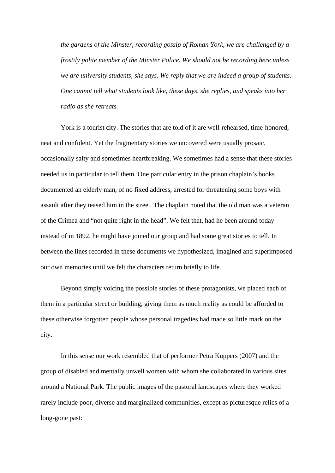*the gardens of the Minster, recording gossip of Roman York, we are challenged by a frostily polite member of the Minster Police. We should not be recording here unless we are university students, she says. We reply that we are indeed a group of students. One cannot tell what students look like, these days, she replies, and speaks into her radio as she retreats.* 

York is a tourist city. The stories that are told of it are well-rehearsed, time-honored, neat and confident. Yet the fragmentary stories we uncovered were usually prosaic, occasionally salty and sometimes heartbreaking. We sometimes had a sense that these stories needed us in particular to tell them. One particular entry in the prison chaplain's books documented an elderly man, of no fixed address, arrested for threatening some boys with assault after they teased him in the street. The chaplain noted that the old man was a veteran of the Crimea and "not quite right in the head". We felt that, had he been around today instead of in 1892, he might have joined our group and had some great stories to tell. In between the lines recorded in these documents we hypothesized, imagined and superimposed our own memories until we felt the characters return briefly to life.

Beyond simply voicing the possible stories of these protagonists, we placed each of them in a particular street or building, giving them as much reality as could be afforded to these otherwise forgotten people whose personal tragedies had made so little mark on the city.

In this sense our work resembled that of performer Petra Kuppers (2007) and the group of disabled and mentally unwell women with whom she collaborated in various sites around a National Park. The public images of the pastoral landscapes where they worked rarely include poor, diverse and marginalized communities, except as picturesque relics of a long-gone past: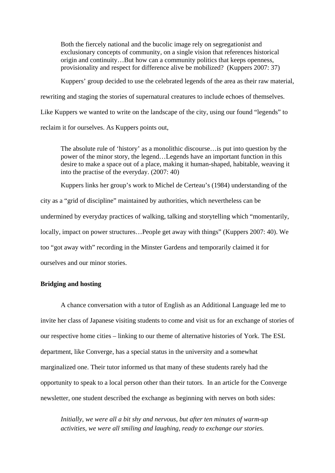Both the fiercely national and the bucolic image rely on segregationist and exclusionary concepts of community, on a single vision that references historical origin and continuity…But how can a community politics that keeps openness, provisionality and respect for difference alive be mobilized? (Kuppers 2007: 37)

Kuppers' group decided to use the celebrated legends of the area as their raw material, rewriting and staging the stories of supernatural creatures to include echoes of themselves. Like Kuppers we wanted to write on the landscape of the city, using our found "legends" to reclaim it for ourselves. As Kuppers points out,

The absolute rule of 'history' as a monolithic discourse…is put into question by the power of the minor story, the legend…Legends have an important function in this desire to make a space out of a place, making it human-shaped, habitable, weaving it into the practise of the everyday. (2007: 40)

Kuppers links her group's work to Michel de Certeau's (1984) understanding of the city as a "grid of discipline" maintained by authorities, which nevertheless can be undermined by everyday practices of walking, talking and storytelling which "momentarily, locally, impact on power structures...People get away with things" (Kuppers 2007: 40). We too "got away with" recording in the Minster Gardens and temporarily claimed it for ourselves and our minor stories.

#### **Bridging and hosting**

A chance conversation with a tutor of English as an Additional Language led me to invite her class of Japanese visiting students to come and visit us for an exchange of stories of our respective home cities – linking to our theme of alternative histories of York. The ESL department, like Converge, has a special status in the university and a somewhat marginalized one. Their tutor informed us that many of these students rarely had the opportunity to speak to a local person other than their tutors. In an article for the Converge newsletter, one student described the exchange as beginning with nerves on both sides:

*Initially, we were all a bit shy and nervous, but after ten minutes of warm-up activities, we were all smiling and laughing, ready to exchange our stories.*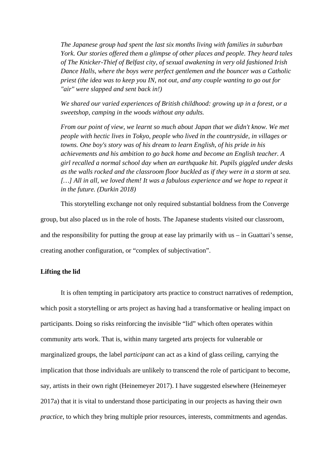*The Japanese group had spent the last six months living with families in suburban York. Our stories offered them a glimpse of other places and people. They heard tales of The Knicker-Thief of Belfast city, of sexual awakening in very old fashioned Irish Dance Halls, where the boys were perfect gentlemen and the bouncer was a Catholic priest (the idea was to keep you IN, not out, and any couple wanting to go out for "air" were slapped and sent back in!)*

*We shared our varied experiences of British childhood: growing up in a forest, or a sweetshop, camping in the woods without any adults.*

*From our point of view, we learnt so much about Japan that we didn't know. We met people with hectic lives in Tokyo, people who lived in the countryside, in villages or towns. One boy's story was of his dream to learn English, of his pride in his achievements and his ambition to go back home and become an English teacher. A girl recalled a normal school day when an earthquake hit. Pupils giggled under desks as the walls rocked and the classroom floor buckled as if they were in a storm at sea.*  [...] All in all, we loved them! It was a fabulous experience and we hope to repeat it *in the future. (Durkin 2018)*

This storytelling exchange not only required substantial boldness from the Converge group, but also placed us in the role of hosts. The Japanese students visited our classroom, and the responsibility for putting the group at ease lay primarily with  $us - in$  Guattari's sense, creating another configuration, or "complex of subjectivation".

#### **Lifting the lid**

It is often tempting in participatory arts practice to construct narratives of redemption, which posit a storytelling or arts project as having had a transformative or healing impact on participants. Doing so risks reinforcing the invisible "lid" which often operates within community arts work. That is, within many targeted arts projects for vulnerable or marginalized groups, the label *participant* can act as a kind of glass ceiling, carrying the implication that those individuals are unlikely to transcend the role of participant to become, say, artists in their own right (Heinemeyer 2017). I have suggested elsewhere (Heinemeyer 2017a) that it is vital to understand those participating in our projects as having their own *practice*, to which they bring multiple prior resources, interests, commitments and agendas.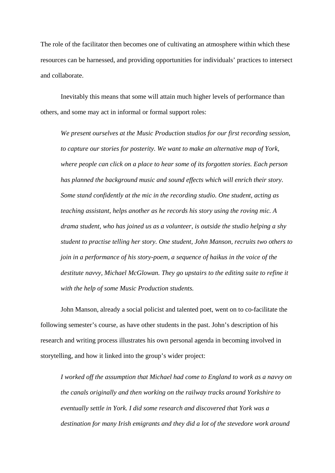The role of the facilitator then becomes one of cultivating an atmosphere within which these resources can be harnessed, and providing opportunities for individuals' practices to intersect and collaborate.

Inevitably this means that some will attain much higher levels of performance than others, and some may act in informal or formal support roles:

*We present ourselves at the Music Production studios for our first recording session, to capture our stories for posterity. We want to make an alternative map of York, where people can click on a place to hear some of its forgotten stories. Each person has planned the background music and sound effects which will enrich their story. Some stand confidently at the mic in the recording studio. One student, acting as teaching assistant, helps another as he records his story using the roving mic. A drama student, who has joined us as a volunteer, is outside the studio helping a shy student to practise telling her story. One student, John Manson, recruits two others to join in a performance of his story-poem, a sequence of haikus in the voice of the destitute navvy, Michael McGlowan. They go upstairs to the editing suite to refine it with the help of some Music Production students.* 

John Manson, already a social policist and talented poet, went on to co-facilitate the following semester's course, as have other students in the past. John's description of his research and writing process illustrates his own personal agenda in becoming involved in storytelling, and how it linked into the group's wider project:

*I worked off the assumption that Michael had come to England to work as a navvy on the canals originally and then working on the railway tracks around Yorkshire to eventually settle in York. I did some research and discovered that York was a destination for many Irish emigrants and they did a lot of the stevedore work around*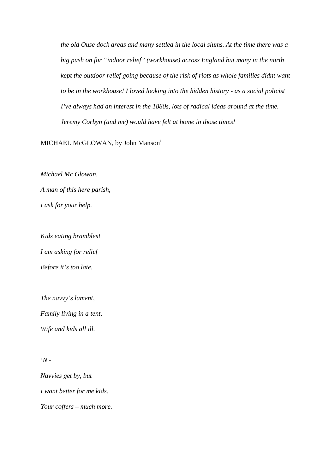*the old Ouse dock areas and many settled in the local slums. At the time there was a big push on for "indoor relief" (workhouse) across England but many in the north kept the outdoor relief going because of the risk of riots as whole families didnt want to be in the workhouse! I loved looking into the hidden history - as a social policist I've always had an interest in the 1880s, lots of radical ideas around at the time. Jeremy Corbyn (and me) would have felt at home in those times!* 

MICHAEL McGLOWAN, by John Manson<sup>[i](#page-23-0)</sup>

*Michael Mc Glowan, A man of this here parish, I ask for your help.*

*Kids eating brambles! I am asking for relief Before it's too late.*

*The navvy's lament, Family living in a tent,*

*Wife and kids all ill.*

*'N -*

*Navvies get by, but I want better for me kids. Your coffers – much more.*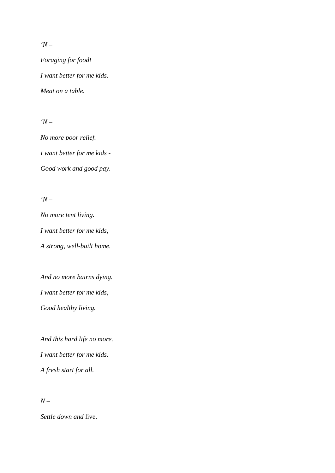*'N –*

*Foraging for food! I want better for me kids. Meat on a table.*

*'N –*

*No more poor relief. I want better for me kids - Good work and good pay.*

*'N –*

*No more tent living. I want better for me kids, A strong, well-built home.*

*And no more bairns dying. I want better for me kids, Good healthy living.*

*And this hard life no more. I want better for me kids. A fresh start for all.*

*N –*

*Settle down and* live.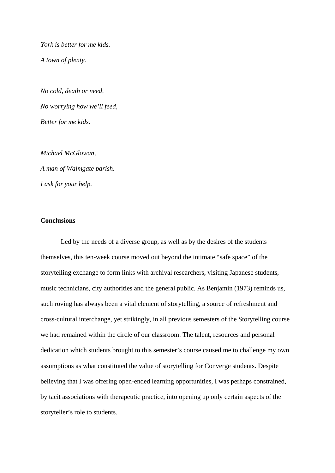*York is better for me kids. A town of plenty.* 

*No cold, death or need, No worrying how we'll feed, Better for me kids.*

*Michael McGlowan, A man of Walmgate parish. I ask for your help.*

### **Conclusions**

Led by the needs of a diverse group, as well as by the desires of the students themselves, this ten-week course moved out beyond the intimate "safe space" of the storytelling exchange to form links with archival researchers, visiting Japanese students, music technicians, city authorities and the general public. As Benjamin (1973) reminds us, such roving has always been a vital element of storytelling, a source of refreshment and cross-cultural interchange, yet strikingly, in all previous semesters of the Storytelling course we had remained within the circle of our classroom. The talent, resources and personal dedication which students brought to this semester's course caused me to challenge my own assumptions as what constituted the value of storytelling for Converge students. Despite believing that I was offering open-ended learning opportunities, I was perhaps constrained, by tacit associations with therapeutic practice, into opening up only certain aspects of the storyteller's role to students.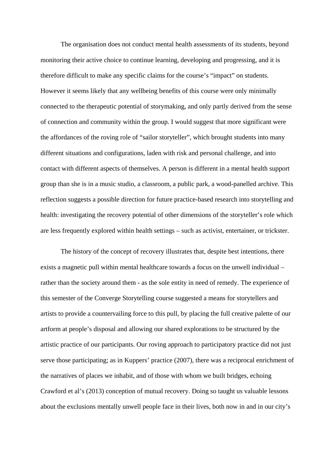The organisation does not conduct mental health assessments of its students, beyond monitoring their active choice to continue learning, developing and progressing, and it is therefore difficult to make any specific claims for the course's "impact" on students. However it seems likely that any wellbeing benefits of this course were only minimally connected to the therapeutic potential of storymaking, and only partly derived from the sense of connection and community within the group. I would suggest that more significant were the affordances of the roving role of "sailor storyteller", which brought students into many different situations and configurations, laden with risk and personal challenge, and into contact with different aspects of themselves. A person is different in a mental health support group than she is in a music studio, a classroom, a public park, a wood-panelled archive. This reflection suggests a possible direction for future practice-based research into storytelling and health: investigating the recovery potential of other dimensions of the storyteller's role which are less frequently explored within health settings – such as activist, entertainer, or trickster.

The history of the concept of recovery illustrates that, despite best intentions, there exists a magnetic pull within mental healthcare towards a focus on the unwell individual – rather than the society around them - as the sole entity in need of remedy. The experience of this semester of the Converge Storytelling course suggested a means for storytellers and artists to provide a countervailing force to this pull, by placing the full creative palette of our artform at people's disposal and allowing our shared explorations to be structured by the artistic practice of our participants. Our roving approach to participatory practice did not just serve those participating; as in Kuppers' practice (2007), there was a reciprocal enrichment of the narratives of places we inhabit, and of those with whom we built bridges, echoing Crawford et al's (2013) conception of mutual recovery. Doing so taught us valuable lessons about the exclusions mentally unwell people face in their lives, both now in and in our city's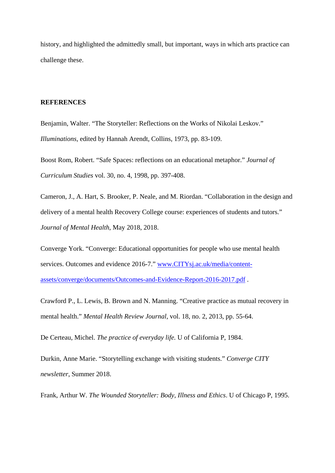history, and highlighted the admittedly small, but important, ways in which arts practice can challenge these.

#### **REFERENCES**

Benjamin, Walter. "The Storyteller: Reflections on the Works of Nikolai Leskov." *Illuminations,* edited by Hannah Arendt, Collins, 1973, pp. 83-109.

Boost Rom, Robert. "Safe Spaces: reflections on an educational metaphor." *Journal of Curriculum Studies* vol. 30, no. 4, 1998, pp. 397-408.

Cameron, J., A. Hart, S. Brooker, P. Neale, and M. Riordan. "Collaboration in the design and delivery of a mental health Recovery College course: experiences of students and tutors." *Journal of Mental Health*, May 2018, 2018.

Converge York. "Converge: Educational opportunities for people who use mental health services. Outcomes and evidence 2016-7." [www.CITYsj.ac.uk/media/content](https://www.yorksj.ac.uk/media/content-assets/converge/documents/Outcomes-and-Evidence-Report-2016-2017.pdf)[assets/converge/documents/Outcomes-and-Evidence-Report-2016-2017.pdf](https://www.yorksj.ac.uk/media/content-assets/converge/documents/Outcomes-and-Evidence-Report-2016-2017.pdf) .

Crawford P., L. Lewis, B. Brown and N. Manning. "Creative practice as mutual recovery in mental health." *Mental Health Review Journal,* vol. 18, no. 2, 2013, pp. 55-64.

De Certeau, Michel. *The practice of everyday life.* U of California P, 1984.

Durkin, Anne Marie. "Storytelling exchange with visiting students." *Converge CITY newsletter*, Summer 2018.

Frank, Arthur W. *The Wounded Storyteller: Body, Illness and Ethics*. U of Chicago P, 1995.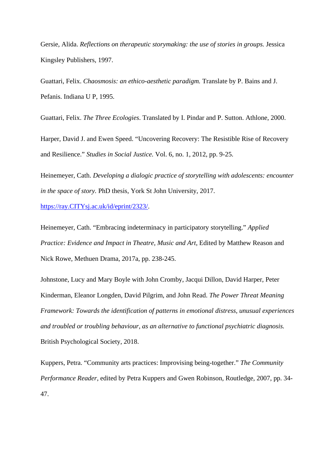Gersie, Alida. *Reflections on therapeutic storymaking: the use of stories in groups.* Jessica Kingsley Publishers, 1997.

Guattari, Felix. *Chaosmosis: an ethico-aesthetic paradigm.* Translate by P. Bains and J. Pefanis. Indiana U P, 1995.

Guattari, Felix. *The Three Ecologies*. Translated by I. Pindar and P. Sutton. Athlone, 2000.

Harper, David J. and Ewen Speed. "Uncovering Recovery: The Resistible Rise of Recovery and Resilience." *Studies in Social Justice.* Vol. 6, no. 1, 2012, pp. 9-25.

Heinemeyer, Cath. *Developing a dialogic practice of storytelling with adolescents: encounter in the space of story.* PhD thesis, York St John University, 2017.

[https://ray.CITYsj.ac.uk/id/eprint/2323/.](https://ray.yorksj.ac.uk/id/eprint/2323/)

Heinemeyer, Cath. "Embracing indeterminacy in participatory storytelling." *Applied Practice: Evidence and Impact in Theatre, Music and Art*, Edited by Matthew Reason and Nick Rowe, Methuen Drama, 2017a, pp. 238-245.

Johnstone, Lucy and Mary Boyle with John Cromby, Jacqui Dillon, David Harper, Peter Kinderman, Eleanor Longden, David Pilgrim, and John Read. *The Power Threat Meaning Framework: Towards the identification of patterns in emotional distress, unusual experiences and troubled or troubling behaviour, as an alternative to functional psychiatric diagnosis.* British Psychological Society, 2018.

Kuppers, Petra. "Community arts practices: Improvising being-together." *The Community Performance Reader*, edited by Petra Kuppers and Gwen Robinson, Routledge, 2007, pp. 34- 47.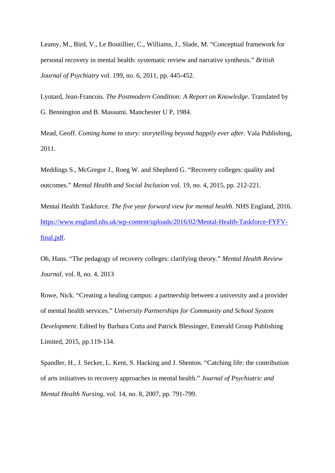Leamy, M., Bird, V., Le Boutillier, C., Williams, J., Slade, M. "Conceptual framework for personal recovery in mental health: systematic review and narrative synthesis." *British Journal of Psychiatry* vol. 199, no. 6, 2011, pp. 445-452.

Lyotard, Jean-Francois. *The Postmodern Condition: A Report on Knowledge.* Translated by G. Bennington and B. Massumi. Manchester U P, 1984.

Mead, Geoff. *Coming home to story: storytelling beyond happily ever after.* Vala Publishing, 2011.

Meddings S., McGregor J., Roeg W. and Shepherd G. "Recovery colleges: quality and outcomes." *Mental Health and Social Inclusion* vol. 19, no. 4, 2015, pp. 212-221.

Mental Health Taskforce. *The five year forward view for mental health.* NHS England, 2016. [https://www.england.nhs.uk/wp-content/uploads/2016/02/Mental-Health-Taskforce-FYFV](https://www.england.nhs.uk/wp-content/uploads/2016/02/Mental-Health-Taskforce-FYFV-final.pdf)[final.pdf.](https://www.england.nhs.uk/wp-content/uploads/2016/02/Mental-Health-Taskforce-FYFV-final.pdf)

Oh, Hans. "The pedagogy of recovery colleges: clarifying theory." *Mental Health Review Journal,* vol. 8, no. 4, 2013

Rowe, Nick. "Creating a healing campus: a partnership between a university and a provider of mental health services." *University Partnerships for Community and School System Development*. Edited by Barbara Cotta and Patrick Blessinger, Emerald Group Publishing Limited, 2015, pp.119-134.

Spandler, H., J. Secker, L. Kent, S. Hacking and J. Shenton. "Catching life: the contribution of arts initiatives to recovery approaches in mental health." *Journal of Psychiatric and Mental Health Nursing,* vol. 14, no. 8, 2007, pp. 791-799.